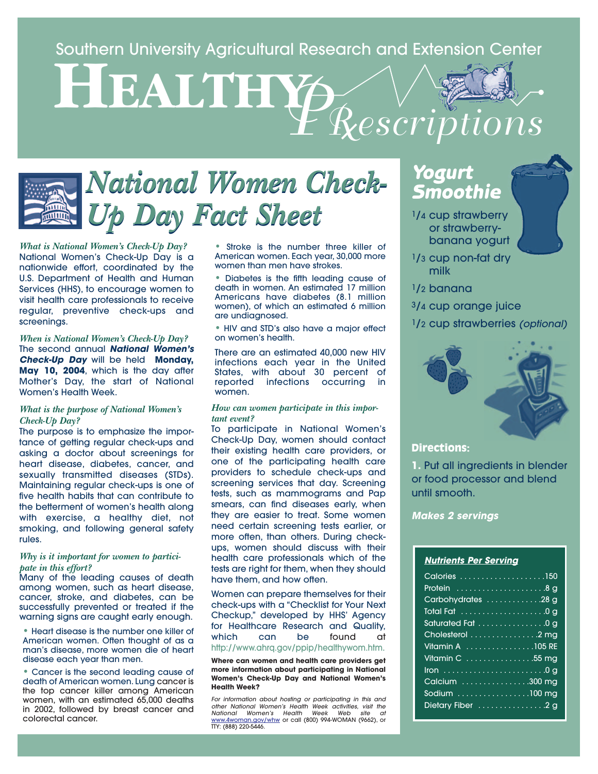Southern University Agricultural Research and Extension Center

**HEALTHY** *PRescriptions*

# *National Women Check-Up Day Fact Sheet*

*What is National Women's Check-Up Day?* National Women's Check-Up Day is a nationwide effort, coordinated by the U.S. Department of Health and Human Services (HHS), to encourage women to visit health care professionals to receive regular, preventive check-ups and screenings.

*When is National Women's Check-Up Day?* The second annual **National Women's Check-Up Day** will be held **Monday, May 10, 2004**, which is the day after Mother's Day, the start of National Women's Health Week.

### *What is the purpose of National Women's Check-Up Day?*

The purpose is to emphasize the importance of getting regular check-ups and asking a doctor about screenings for heart disease, diabetes, cancer, and sexually transmitted diseases (STDs). Maintaining regular check-ups is one of five health habits that can contribute to the betterment of women's health along with exercise, a healthy diet, not smoking, and following general safety rules.

#### *Why is it important for women to participate in this effort?*

Many of the leading causes of death among women, such as heart disease, cancer, stroke, and diabetes, can be successfully prevented or treated if the warning signs are caught early enough.

• Heart disease is the number one killer of American women. Often thought of as a man's disease, more women die of heart disease each year than men.

• Cancer is the second leading cause of death of American women. Lung cancer is the top cancer killer among American women, with an estimated 65,000 deaths in 2002, followed by breast cancer and colorectal cancer.

• Stroke is the number three killer of American women. Each year, 30,000 more women than men have strokes.

• Diabetes is the fifth leading cause of death in women. An estimated 17 million Americans have diabetes (8.1 million women), of which an estimated 6 million are undiagnosed.

• HIV and STD's also have a major effect on women's health.

There are an estimated 40,000 new HIV infections each year in the United States, with about 30 percent of reported infections occurring in women.

#### *How can women participate in this important event?*

To participate in National Women's Check-Up Day, women should contact their existing health care providers, or one of the participating health care providers to schedule check-ups and screening services that day. Screening tests, such as mammograms and Pap smears, can find diseases early, when they are easier to treat. Some women need certain screening tests earlier, or more often, than others. During checkups, women should discuss with their health care professionals which of the tests are right for them, when they should have them, and how often.

Women can prepare themselves for their check-ups with a "Checklist for Your Next Checkup," developed by HHS' Agency for Healthcare Research and Quality, which can be found at http://www.ahrq.gov/ppip/healthywom.htm.

**Where can women and health care providers get more information about participating in National Women's Check-Up Day and National Women's Health Week?**

For information about hosting or participating in this and other National Women's Health Week activities, visit the National Women's Health Week Web site at<br><u>www.4woman.gov/whw</u>\_or\_call (800) 994-WOMAN (9662), or TTY: (888) 220-5446.

# **Yogurt Smoothie**

- 1/4 cup strawberry or strawberrybanana yogurt
- 1/3 cup non-fat dry milk
- 1/2 banana
- 3/4 cup orange juice
- <sup>1</sup>/<sub>2</sub> cup strawberries (optional)



## **Directions:**

**1.** Put all ingredients in blender or food processor and blend until smooth.

**Makes 2 servings**

### **Nutrients Per Serving**

| Calories 150       |
|--------------------|
|                    |
| Carbohydrates 28 g |
|                    |
| Saturated Fat 0 g  |
| Cholesterol 2 mg   |
| Vitamin A 105 RE   |
| Vitamin C 55 mg    |
| Iron 0 q           |
| Calcium 300 mg     |
| Sodium 100 mg      |
| Dietary Fiber 2g   |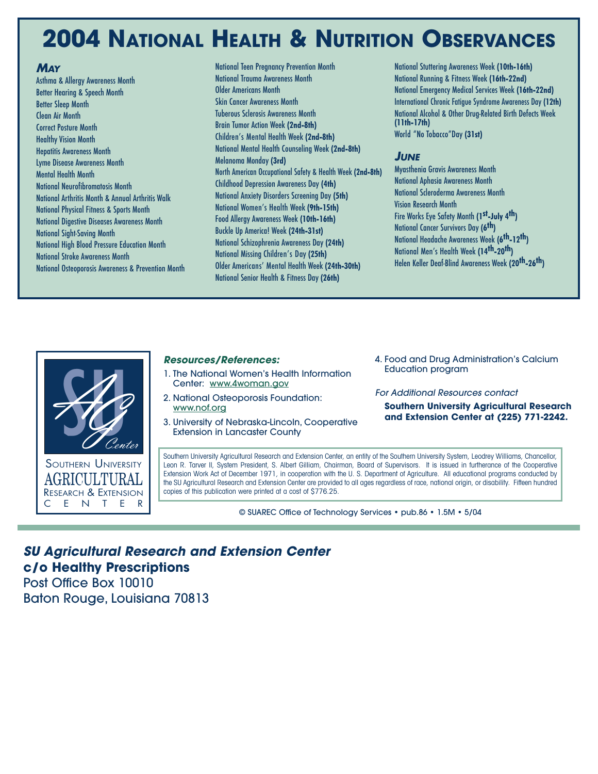# **2004 NATIONAL HEALTH & NUTRITION OBSERVANCES**

# **MAY**

Asthma & Allergy Awareness Month Better Hearing & Speech Month Better Sleep Month Clean Air Month Correct Posture Month Healthy Vision Month Hepatitis Awareness Month Lyme Disease Awareness Month Mental Health Month National Neurofibromatosis Month National Arthritis Month & Annual Arthritis Walk National Physical Fitness & Sports Month National Digestive Diseases Awareness Month National Sight-Saving Month National High Blood Pressure Education Month National Stroke Awareness Month National Osteoporosis Awareness & Prevention Month National Teen Pregnancy Prevention Month National Trauma Awareness Month Older Americans Month Skin Cancer Awareness Month Tuberous Sclerosis Awareness Month Brain Tumor Action Week **(2nd-8th)** Children's Mental Health Week **(2nd-8th)** National Mental Health Counseling Week **(2nd-8th)** Melanoma Monday **(3rd)** North American Occupational Safety & Health Week **(2nd-8th)** Childhood Depression Awareness Day **(4th)** National Anxiety Disorders Screening Day **(5th)** National Women's Health Week **(9th-15th)** Food Allergy Awareness Week **(10th-16th)** Buckle Up America! Week **(24th-31st)** National Schizophrenia Awareness Day **(24th)** National Missing Children's Day **(25th)** Older Americans' Mental Health Week **(24th-30th)** National Senior Health & Fitness Day **(26th)**

National Stuttering Awareness Week **(10th-16th)** National Running & Fitness Week **(16th-22nd)** National Emergency Medical Services Week **(16th-22nd)** International Chronic Fatigue Syndrome Awareness Day **(12th)** National Alcohol & Other Drug-Related Birth Defects Week **(11th-17th)** World "No Tobacco"Day **(31st)**

# **JUNE**

Myasthenia Gravis Awareness Month National Aphasia Awareness Month National Scleroderma Awareness Month Vision Research Month Fire Works Eye Safety Month **(1st-July 4th)** National Cancer Survivors Day **(6th)** National Headache Awareness Week **(6th-12th)** National Men's Health Week **(14th-20th)** Helen Keller Deaf-Blind Awareness Week **(20th-26th)**



### **Resources/References:**

- 1. The National Women's Health Information Center: www.4woman.gov
- 2. National Osteoporosis Foundation: www.nof.org
- 3. University of Nebraska-Lincoln, Cooperative Extension in Lancaster County
- 4. Food and Drug Administration's Calcium Education program

### For Additional Resources contact

**Southern University Agricultural Research and Extension Center at (225) 771-2242.**

Southern University Agricultural Research and Extension Center, an entity of the Southern University System, Leodrey Williams, Chancellor, Leon R. Tarver II, System President, S. Albert Gilliam, Chairman, Board of Supervisors. It is issued in furtherance of the Cooperative Extension Work Act of December 1971, in cooperation with the U. S. Department of Agriculture. All educational programs conducted by the SU Agricultural Research and Extension Center are provided to all ages regardless of race, national origin, or disability. Fifteen hundred copies of this publication were printed at a cost of \$776.25.

© SUAREC Office of Technology Services • pub.86 • 1.5M • 5/04

# **SU Agricultural Research and Extension Center c/o Healthy Prescriptions** Post Office Box 10010

Baton Rouge, Louisiana 70813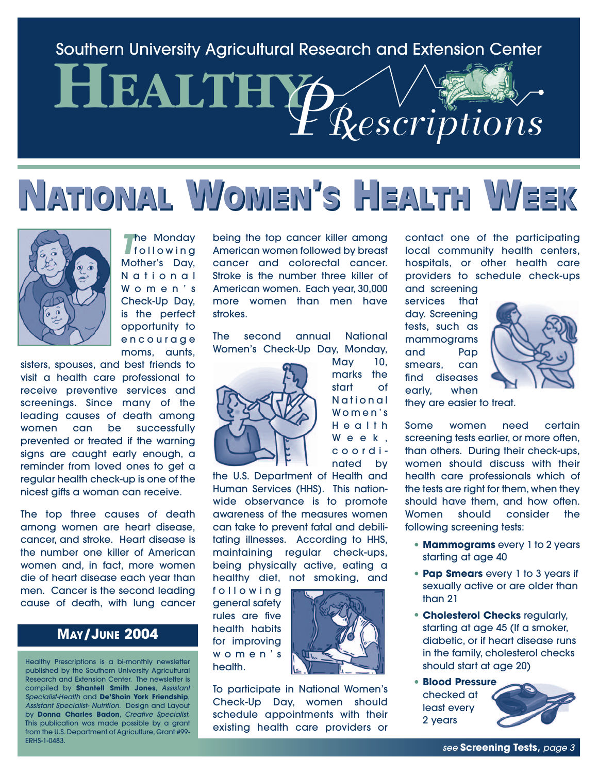# Southern University Agricultural Research and Extension Center

# **HEALTH** *PRescriptions*

# **NATIONAL ATIONAL WOMEN OMEN'SS HEALTH EALTH WEEK EEK**



**The Monday**<br>**T**rollowing Mother's Day, National Women's Check-Up Day, is the perfect opportunity to encourage moms, aunts,

sisters, spouses, and best friends to visit a health care professional to receive preventive services and screenings. Since many of the leading causes of death among women can be successfully prevented or treated if the warning signs are caught early enough, a reminder from loved ones to get a regular health check-up is one of the nicest gifts a woman can receive.

The top three causes of death among women are heart disease, cancer, and stroke. Heart disease is the number one killer of American women and, in fact, more women die of heart disease each year than men. Cancer is the second leading cause of death, with lung cancer

# **MAY/JUNE 2004**

Healthy Prescriptions is a bi-monthly newsletter published by the Southern University Agricultural Research and Extension Center. The newsletter is compiled by **Shantell Smith Jones**, Assistant Specialist-Health and **De'Shoin York Friendship**, Assistant Specialist- Nutrition. Design and Layout by **Donna Charles Badon**, Creative Specialist. This publication was made possible by a grant from the U.S. Department of Agriculture, Grant #99- ERHS-1-0483.

being the top cancer killer among American women followed by breast cancer and colorectal cancer. Stroke is the number three killer of American women. Each year, 30,000 more women than men have strokes.

The second annual National Women's Check-Up Day, Monday,

> May 10, marks the start of National Women's Health Week, coordinated by



the U.S. Department of Health and Human Services (HHS). This nationwide observance is to promote awareness of the measures women can take to prevent fatal and debilitating illnesses. According to HHS, maintaining regular check-ups, being physically active, eating a healthy diet, not smoking, and

following general safety rules are five health habits for improving women's health.



To participate in National Women's Check-Up Day, women should schedule appointments with their existing health care providers or contact one of the participating local community health centers, hospitals, or other health care providers to schedule check-ups

and screening services that day. Screening tests, such as mammograms and Pap smears, can find diseases early, when



they are easier to treat.

Some women need certain screening tests earlier, or more often, than others. During their check-ups, women should discuss with their health care professionals which of the tests are right for them, when they should have them, and how often. Women should consider the following screening tests:

- **• Mammograms** every 1 to 2 years starting at age 40
- **• Pap Smears** every 1 to 3 years if sexually active or are older than than 21
- **• Cholesterol Checks** regularly, starting at age 45 (If a smoker, diabetic, or if heart disease runs in the family, cholesterol checks should start at age 20)
- **• Blood Pressure** checked at least every 2 years



see **Screening Tests**, page 3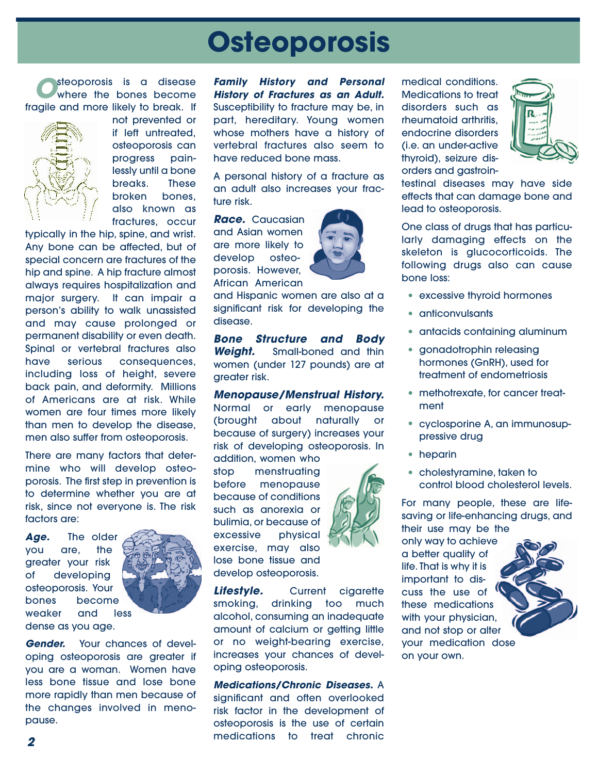# **Osteoporosis**

**O**steoporosis is a disease<br>
where the bones become fragile and more likely to break. If



not prevented or if left untreated, osteoporosis can progress painlessly until a bone breaks. These broken bones, also known as fractures, occur

typically in the hip, spine, and wrist. Any bone can be affected, but of special concern are fractures of the hip and spine. A hip fracture almost always requires hospitalization and major surgery. It can impair a person's ability to walk unassisted and may cause prolonged or permanent disability or even death. Spinal or vertebral fractures also have serious consequences, including loss of height, severe back pain, and deformity. Millions of Americans are at risk. While women are four times more likely than men to develop the disease, men also suffer from osteoporosis.

There are many factors that determine who will develop osteoporosis. The first step in prevention is to determine whether you are at risk, since not everyone is. The risk factors are:

**Age.** The older you are, the greater your risk of developing osteoporosis. Your bones become weaker and less dense as you age.



**Gender.** Your chances of developing osteoporosis are greater if you are a woman. Women have less bone tissue and lose bone more rapidly than men because of the changes involved in menopause.

**Family History and Personal History of Fractures as an Adult.** Susceptibility to fracture may be, in part, hereditary. Young women whose mothers have a history of vertebral fractures also seem to have reduced bone mass.

A personal history of a fracture as an adult also increases your fracture risk.

**Race.** Caucasian and Asian women are more likely to develop osteoporosis. However, African American



and Hispanic women are also at a significant risk for developing the disease.

**Bone Structure and Body Weight.** Small-boned and thin women (under 127 pounds) are at greater risk.

**Menopause/Menstrual History.** Normal or early menopause (brought about naturally or because of surgery) increases your risk of developing osteoporosis. In

addition, women who stop menstruating before menopause because of conditions such as anorexia or bulimia, or because of excessive physical exercise, may also lose bone tissue and develop osteoporosis.

**Lifestyle.** Current cigarette smoking, drinking too much alcohol, consuming an inadequate amount of calcium or getting little or no weight-bearing exercise, increases your chances of developing osteoporosis.

**Medications/Chronic Diseases.** A significant and often overlooked risk factor in the development of osteoporosis is the use of certain medications to treat chronic

medical conditions. Medications to treat disorders such as rheumatoid arthritis, endocrine disorders (i.e. an under-active thyroid), seizure disorders and gastroin-



testinal diseases may have side effects that can damage bone and lead to osteoporosis.

One class of drugs that has particularly damaging effects on the skeleton is glucocorticoids. The following drugs also can cause bone loss:

- excessive thyroid hormones
- anticonvulsants
- antacids containing aluminum
- gonadotrophin releasing hormones (GnRH), used for treatment of endometriosis
- methotrexate, for cancer treatment
- cyclosporine A, an immunosuppressive drug
- heparin
- cholestyramine, taken to control blood cholesterol levels.

For many people, these are lifesaving or life-enhancing drugs, and their use may be the

only way to achieve a better quality of life. That is why it is important to discuss the use of **W** these medications with your physician, and not stop or alter your medication dose on your own.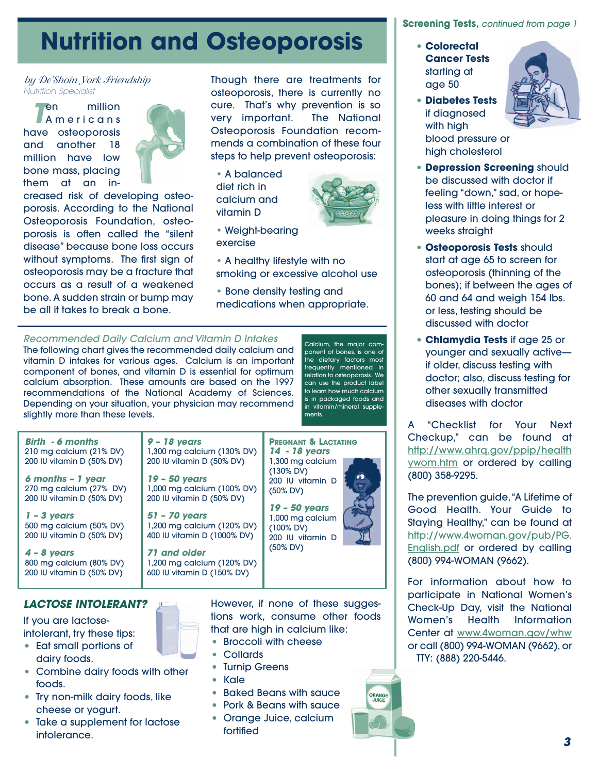# **Nutrition and Osteoporosis**

*by De'Shoin York Friendship* Nutrition Specialist

**T**en million Americans have osteoporosis and another 18 million have low bone mass, placing them at an in-



creased risk of developing osteoporosis. According to the National Osteoporosis Foundation, osteoporosis is often called the "silent disease" because bone loss occurs without symptoms. The first sign of osteoporosis may be a fracture that occurs as a result of a weakened bone. A sudden strain or bump may be all it takes to break a bone.

Though there are treatments for osteoporosis, there is currently no cure. That's why prevention is so very important. The National Osteoporosis Foundation recommends a combination of these four steps to help prevent osteoporosis:

• A balanced diet rich in calcium and vitamin D



• Weight-bearing exercise

• A healthy lifestyle with no smoking or excessive alcohol use

• Bone density testing and medications when appropriate.

# Recommended Daily Calcium and Vitamin D Intakes

The following chart gives the recommended daily calcium and vitamin D intakes for various ages. Calcium is an important component of bones, and vitamin D is essential for optimum calcium absorption. These amounts are based on the 1997 recommendations of the National Academy of Sciences. Depending on your situation, your physician may recommend slightly more than these levels.

Calcium, the major component of bones, is one of the dietary factors most frequently mentioned in relation to osteoporosis. We can use the product label to learn how much calcium is in packaged foods and in vitamin/mineral supplements.

**ORANGE**<br>JUICE



# **LACTOSE INTOLERANT?**

If you are lactoseintolerant, try these tips:

- Eat small portions of dairy foods.
- Combine dairy foods with other foods.
- Try non-milk dairy foods, like cheese or yogurt.
- Take a supplement for lactose intolerance.

However, if none of these suggestions work, consume other foods that are high in calcium like:

- Broccoli with cheese
- Collards
- Turnip Greens
- Kale
- Baked Beans with sauce
- Pork & Beans with sauce
- Orange Juice, calcium fortified

# **Screening Tests**, continued from page 1

- **• Colorectal Cancer Tests** starting at age 50
- **• Diabetes Tests** if diagnosed with high blood pressure or high cholesterol



- **• Depression Screening** should be discussed with doctor if feeling "down," sad, or hopeless with little interest or pleasure in doing things for 2 weeks straight
- **• Osteoporosis Tests** should start at age 65 to screen for osteoporosis (thinning of the bones); if between the ages of 60 and 64 and weigh 154 lbs. or less, testing should be discussed with doctor
- **• Chlamydia Tests** if age 25 or younger and sexually active if older, discuss testing with doctor; also, discuss testing for other sexually transmitted diseases with doctor

A "Checklist for Your Next Checkup," can be found at http://www.ahrq.gov/ppip/health ywom.htm or ordered by calling (800) 358-9295.

The prevention guide,"A Lifetime of Good Health. Your Guide to Staying Healthy," can be found at http://www.4woman.gov/pub/PG. English.pdf or ordered by calling (800) 994-WOMAN (9662).

For information about how to participate in National Women's Check-Up Day, visit the National Women's Health Information Center at www.4woman.gov/whw or call (800) 994-WOMAN (9662), or TTY: (888) 220-5446.